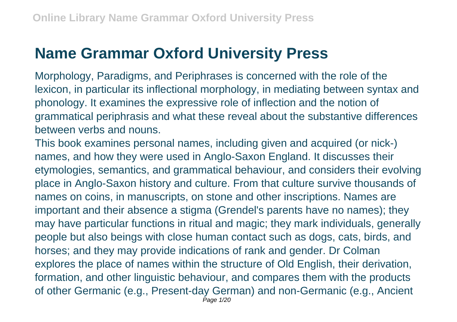## **Name Grammar Oxford University Press**

Morphology, Paradigms, and Periphrases is concerned with the role of the lexicon, in particular its inflectional morphology, in mediating between syntax and phonology. It examines the expressive role of inflection and the notion of grammatical periphrasis and what these reveal about the substantive differences between verbs and nouns.

This book examines personal names, including given and acquired (or nick-) names, and how they were used in Anglo-Saxon England. It discusses their etymologies, semantics, and grammatical behaviour, and considers their evolving place in Anglo-Saxon history and culture. From that culture survive thousands of names on coins, in manuscripts, on stone and other inscriptions. Names are important and their absence a stigma (Grendel's parents have no names); they may have particular functions in ritual and magic; they mark individuals, generally people but also beings with close human contact such as dogs, cats, birds, and horses; and they may provide indications of rank and gender. Dr Colman explores the place of names within the structure of Old English, their derivation, formation, and other linguistic behaviour, and compares them with the products of other Germanic (e.g., Present-day German) and non-Germanic (e.g., Ancient Page 1/20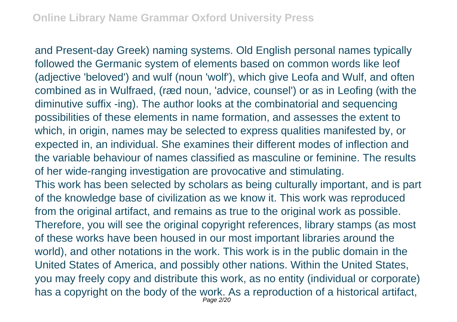and Present-day Greek) naming systems. Old English personal names typically followed the Germanic system of elements based on common words like leof (adjective 'beloved') and wulf (noun 'wolf'), which give Leofa and Wulf, and often combined as in Wulfraed, (ræd noun, 'advice, counsel') or as in Leofing (with the diminutive suffix -ing). The author looks at the combinatorial and sequencing possibilities of these elements in name formation, and assesses the extent to which, in origin, names may be selected to express qualities manifested by, or expected in, an individual. She examines their different modes of inflection and the variable behaviour of names classified as masculine or feminine. The results of her wide-ranging investigation are provocative and stimulating. This work has been selected by scholars as being culturally important, and is part of the knowledge base of civilization as we know it. This work was reproduced from the original artifact, and remains as true to the original work as possible. Therefore, you will see the original copyright references, library stamps (as most of these works have been housed in our most important libraries around the world), and other notations in the work. This work is in the public domain in the United States of America, and possibly other nations. Within the United States, you may freely copy and distribute this work, as no entity (individual or corporate) has a copyright on the body of the work. As a reproduction of a historical artifact, Page 2/20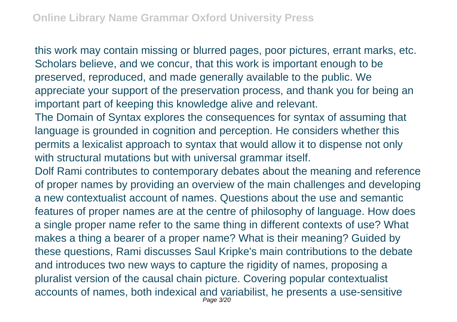this work may contain missing or blurred pages, poor pictures, errant marks, etc. Scholars believe, and we concur, that this work is important enough to be preserved, reproduced, and made generally available to the public. We appreciate your support of the preservation process, and thank you for being an important part of keeping this knowledge alive and relevant.

The Domain of Syntax explores the consequences for syntax of assuming that language is grounded in cognition and perception. He considers whether this permits a lexicalist approach to syntax that would allow it to dispense not only with structural mutations but with universal grammar itself.

Dolf Rami contributes to contemporary debates about the meaning and reference of proper names by providing an overview of the main challenges and developing a new contextualist account of names. Questions about the use and semantic features of proper names are at the centre of philosophy of language. How does a single proper name refer to the same thing in different contexts of use? What makes a thing a bearer of a proper name? What is their meaning? Guided by these questions, Rami discusses Saul Kripke's main contributions to the debate and introduces two new ways to capture the rigidity of names, proposing a pluralist version of the causal chain picture. Covering popular contextualist accounts of names, both indexical and variabilist, he presents a use-sensitive Page 3/20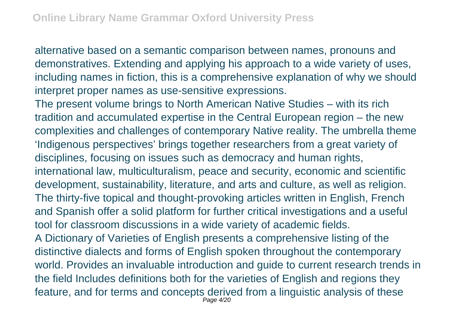alternative based on a semantic comparison between names, pronouns and demonstratives. Extending and applying his approach to a wide variety of uses, including names in fiction, this is a comprehensive explanation of why we should interpret proper names as use-sensitive expressions.

The present volume brings to North American Native Studies – with its rich tradition and accumulated expertise in the Central European region – the new complexities and challenges of contemporary Native reality. The umbrella theme 'Indigenous perspectives' brings together researchers from a great variety of disciplines, focusing on issues such as democracy and human rights, international law, multiculturalism, peace and security, economic and scientific development, sustainability, literature, and arts and culture, as well as religion. The thirty-five topical and thought-provoking articles written in English, French and Spanish offer a solid platform for further critical investigations and a useful tool for classroom discussions in a wide variety of academic fields. A Dictionary of Varieties of English presents a comprehensive listing of the distinctive dialects and forms of English spoken throughout the contemporary world. Provides an invaluable introduction and guide to current research trends in

the field Includes definitions both for the varieties of English and regions they feature, and for terms and concepts derived from a linguistic analysis of these Page 4/20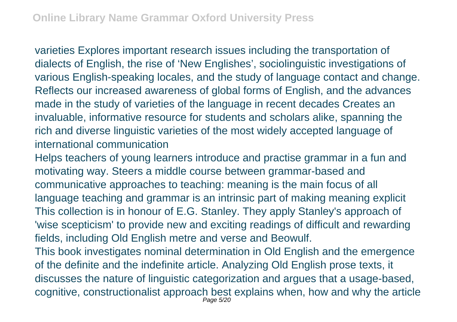varieties Explores important research issues including the transportation of dialects of English, the rise of 'New Englishes', sociolinguistic investigations of various English-speaking locales, and the study of language contact and change. Reflects our increased awareness of global forms of English, and the advances made in the study of varieties of the language in recent decades Creates an invaluable, informative resource for students and scholars alike, spanning the rich and diverse linguistic varieties of the most widely accepted language of international communication

Helps teachers of young learners introduce and practise grammar in a fun and motivating way. Steers a middle course between grammar-based and communicative approaches to teaching: meaning is the main focus of all language teaching and grammar is an intrinsic part of making meaning explicit This collection is in honour of E.G. Stanley. They apply Stanley's approach of 'wise scepticism' to provide new and exciting readings of difficult and rewarding fields, including Old English metre and verse and Beowulf.

This book investigates nominal determination in Old English and the emergence of the definite and the indefinite article. Analyzing Old English prose texts, it discusses the nature of linguistic categorization and argues that a usage-based, cognitive, constructionalist approach best explains when, how and why the article Page 5/20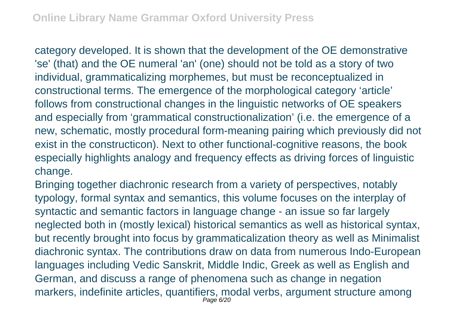category developed. It is shown that the development of the OE demonstrative 'se' (that) and the OE numeral 'an' (one) should not be told as a story of two individual, grammaticalizing morphemes, but must be reconceptualized in constructional terms. The emergence of the morphological category 'article' follows from constructional changes in the linguistic networks of OE speakers and especially from 'grammatical constructionalization' (i.e. the emergence of a new, schematic, mostly procedural form-meaning pairing which previously did not exist in the constructicon). Next to other functional-cognitive reasons, the book especially highlights analogy and frequency effects as driving forces of linguistic change.

Bringing together diachronic research from a variety of perspectives, notably typology, formal syntax and semantics, this volume focuses on the interplay of syntactic and semantic factors in language change - an issue so far largely neglected both in (mostly lexical) historical semantics as well as historical syntax, but recently brought into focus by grammaticalization theory as well as Minimalist diachronic syntax. The contributions draw on data from numerous Indo-European languages including Vedic Sanskrit, Middle Indic, Greek as well as English and German, and discuss a range of phenomena such as change in negation markers, indefinite articles, quantifiers, modal verbs, argument structure among Page 6/20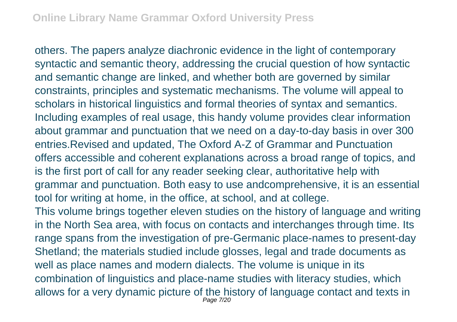others. The papers analyze diachronic evidence in the light of contemporary syntactic and semantic theory, addressing the crucial question of how syntactic and semantic change are linked, and whether both are governed by similar constraints, principles and systematic mechanisms. The volume will appeal to scholars in historical linguistics and formal theories of syntax and semantics. Including examples of real usage, this handy volume provides clear information about grammar and punctuation that we need on a day-to-day basis in over 300 entries.Revised and updated, The Oxford A-Z of Grammar and Punctuation offers accessible and coherent explanations across a broad range of topics, and is the first port of call for any reader seeking clear, authoritative help with grammar and punctuation. Both easy to use andcomprehensive, it is an essential tool for writing at home, in the office, at school, and at college. This volume brings together eleven studies on the history of language and writing in the North Sea area, with focus on contacts and interchanges through time. Its range spans from the investigation of pre-Germanic place-names to present-day Shetland; the materials studied include glosses, legal and trade documents as well as place names and modern dialects. The volume is unique in its combination of linguistics and place-name studies with literacy studies, which allows for a very dynamic picture of the history of language contact and texts in Page 7/20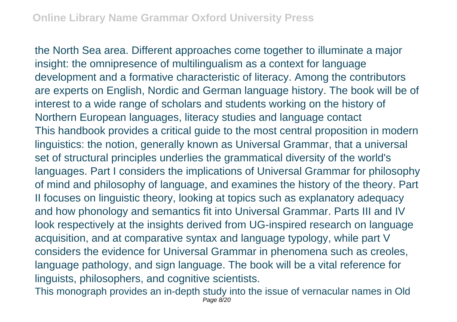the North Sea area. Different approaches come together to illuminate a major insight: the omnipresence of multilingualism as a context for language development and a formative characteristic of literacy. Among the contributors are experts on English, Nordic and German language history. The book will be of interest to a wide range of scholars and students working on the history of Northern European languages, literacy studies and language contact This handbook provides a critical guide to the most central proposition in modern linguistics: the notion, generally known as Universal Grammar, that a universal set of structural principles underlies the grammatical diversity of the world's languages. Part I considers the implications of Universal Grammar for philosophy of mind and philosophy of language, and examines the history of the theory. Part II focuses on linguistic theory, looking at topics such as explanatory adequacy and how phonology and semantics fit into Universal Grammar. Parts III and IV look respectively at the insights derived from UG-inspired research on language acquisition, and at comparative syntax and language typology, while part V considers the evidence for Universal Grammar in phenomena such as creoles, language pathology, and sign language. The book will be a vital reference for linguists, philosophers, and cognitive scientists.

This monograph provides an in-depth study into the issue of vernacular names in Old Page 8/20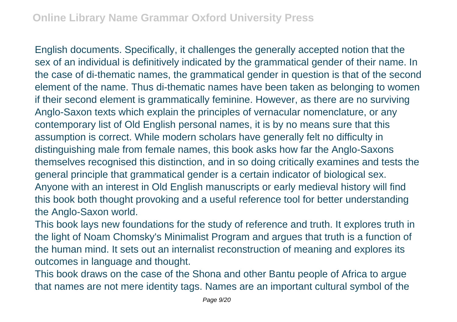English documents. Specifically, it challenges the generally accepted notion that the sex of an individual is definitively indicated by the grammatical gender of their name. In the case of di-thematic names, the grammatical gender in question is that of the second element of the name. Thus di-thematic names have been taken as belonging to women if their second element is grammatically feminine. However, as there are no surviving Anglo-Saxon texts which explain the principles of vernacular nomenclature, or any contemporary list of Old English personal names, it is by no means sure that this assumption is correct. While modern scholars have generally felt no difficulty in distinguishing male from female names, this book asks how far the Anglo-Saxons themselves recognised this distinction, and in so doing critically examines and tests the general principle that grammatical gender is a certain indicator of biological sex. Anyone with an interest in Old English manuscripts or early medieval history will find this book both thought provoking and a useful reference tool for better understanding the Anglo-Saxon world.

This book lays new foundations for the study of reference and truth. It explores truth in the light of Noam Chomsky's Minimalist Program and argues that truth is a function of the human mind. It sets out an internalist reconstruction of meaning and explores its outcomes in language and thought.

This book draws on the case of the Shona and other Bantu people of Africa to argue that names are not mere identity tags. Names are an important cultural symbol of the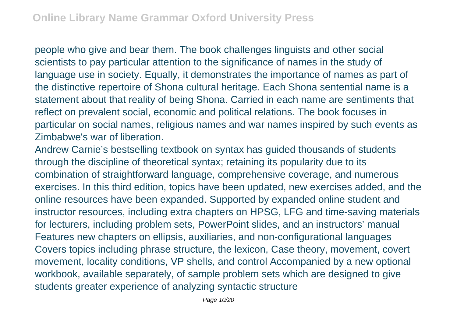people who give and bear them. The book challenges linguists and other social scientists to pay particular attention to the significance of names in the study of language use in society. Equally, it demonstrates the importance of names as part of the distinctive repertoire of Shona cultural heritage. Each Shona sentential name is a statement about that reality of being Shona. Carried in each name are sentiments that reflect on prevalent social, economic and political relations. The book focuses in particular on social names, religious names and war names inspired by such events as Zimbabwe's war of liberation.

Andrew Carnie's bestselling textbook on syntax has guided thousands of students through the discipline of theoretical syntax; retaining its popularity due to its combination of straightforward language, comprehensive coverage, and numerous exercises. In this third edition, topics have been updated, new exercises added, and the online resources have been expanded. Supported by expanded online student and instructor resources, including extra chapters on HPSG, LFG and time-saving materials for lecturers, including problem sets, PowerPoint slides, and an instructors' manual Features new chapters on ellipsis, auxiliaries, and non-configurational languages Covers topics including phrase structure, the lexicon, Case theory, movement, covert movement, locality conditions, VP shells, and control Accompanied by a new optional workbook, available separately, of sample problem sets which are designed to give students greater experience of analyzing syntactic structure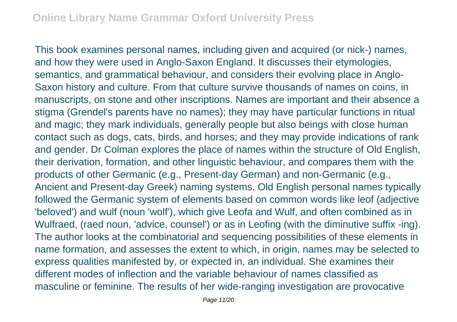This book examines personal names, including given and acquired (or nick-) names, and how they were used in Anglo-Saxon England. It discusses their etymologies, semantics, and grammatical behaviour, and considers their evolving place in Anglo-Saxon history and culture. From that culture survive thousands of names on coins, in manuscripts, on stone and other inscriptions. Names are important and their absence a stigma (Grendel's parents have no names); they may have particular functions in ritual and magic; they mark individuals, generally people but also beings with close human contact such as dogs, cats, birds, and horses; and they may provide indications of rank and gender. Dr Colman explores the place of names within the structure of Old English, their derivation, formation, and other linguistic behaviour, and compares them with the products of other Germanic (e.g., Present-day German) and non-Germanic (e.g., Ancient and Present-day Greek) naming systems. Old English personal names typically followed the Germanic system of elements based on common words like leof (adjective 'beloved') and wulf (noun 'wolf'), which give Leofa and Wulf, and often combined as in Wulfraed, (raed noun, 'advice, counsel') or as in Leofing (with the diminutive suffix -ing). The author looks at the combinatorial and sequencing possibilities of these elements in name formation, and assesses the extent to which, in origin, names may be selected to express qualities manifested by, or expected in, an individual. She examines their different modes of inflection and the variable behaviour of names classified as masculine or feminine. The results of her wide-ranging investigation are provocative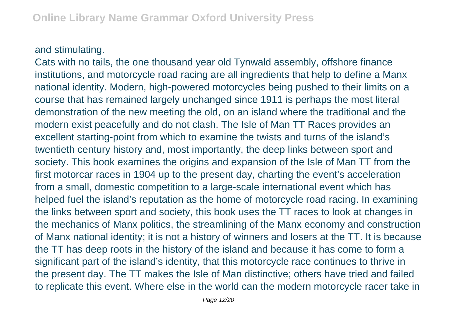## and stimulating.

Cats with no tails, the one thousand year old Tynwald assembly, offshore finance institutions, and motorcycle road racing are all ingredients that help to define a Manx national identity. Modern, high-powered motorcycles being pushed to their limits on a course that has remained largely unchanged since 1911 is perhaps the most literal demonstration of the new meeting the old, on an island where the traditional and the modern exist peacefully and do not clash. The Isle of Man TT Races provides an excellent starting-point from which to examine the twists and turns of the island's twentieth century history and, most importantly, the deep links between sport and society. This book examines the origins and expansion of the Isle of Man TT from the first motorcar races in 1904 up to the present day, charting the event's acceleration from a small, domestic competition to a large-scale international event which has helped fuel the island's reputation as the home of motorcycle road racing. In examining the links between sport and society, this book uses the TT races to look at changes in the mechanics of Manx politics, the streamlining of the Manx economy and construction of Manx national identity; it is not a history of winners and losers at the TT. It is because the TT has deep roots in the history of the island and because it has come to form a significant part of the island's identity, that this motorcycle race continues to thrive in the present day. The TT makes the Isle of Man distinctive; others have tried and failed to replicate this event. Where else in the world can the modern motorcycle racer take in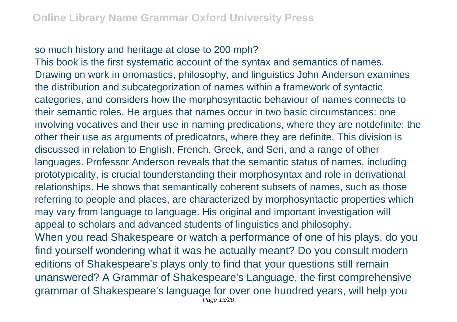## so much history and heritage at close to 200 mph?

This book is the first systematic account of the syntax and semantics of names. Drawing on work in onomastics, philosophy, and linguistics John Anderson examines the distribution and subcategorization of names within a framework of syntactic categories, and considers how the morphosyntactic behaviour of names connects to their semantic roles. He argues that names occur in two basic circumstances: one involving vocatives and their use in naming predications, where they are notdefinite; the other their use as arguments of predicators, where they are definite. This division is discussed in relation to English, French, Greek, and Seri, and a range of other languages. Professor Anderson reveals that the semantic status of names, including prototypicality, is crucial tounderstanding their morphosyntax and role in derivational relationships. He shows that semantically coherent subsets of names, such as those referring to people and places, are characterized by morphosyntactic properties which may vary from language to language. His original and important investigation will appeal to scholars and advanced students of linguistics and philosophy. When you read Shakespeare or watch a performance of one of his plays, do you find yourself wondering what it was he actually meant? Do you consult modern editions of Shakespeare's plays only to find that your questions still remain unanswered? A Grammar of Shakespeare's Language, the first comprehensive grammar of Shakespeare's language for over one hundred years, will help you Page 13/20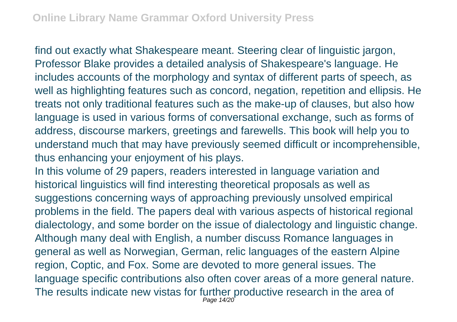find out exactly what Shakespeare meant. Steering clear of linguistic jargon, Professor Blake provides a detailed analysis of Shakespeare's language. He includes accounts of the morphology and syntax of different parts of speech, as well as highlighting features such as concord, negation, repetition and ellipsis. He treats not only traditional features such as the make-up of clauses, but also how language is used in various forms of conversational exchange, such as forms of address, discourse markers, greetings and farewells. This book will help you to understand much that may have previously seemed difficult or incomprehensible, thus enhancing your enjoyment of his plays.

In this volume of 29 papers, readers interested in language variation and historical linguistics will find interesting theoretical proposals as well as suggestions concerning ways of approaching previously unsolved empirical problems in the field. The papers deal with various aspects of historical regional dialectology, and some border on the issue of dialectology and linguistic change. Although many deal with English, a number discuss Romance languages in general as well as Norwegian, German, relic languages of the eastern Alpine region, Coptic, and Fox. Some are devoted to more general issues. The language specific contributions also often cover areas of a more general nature. The results indicate new vistas for further productive research in the area of Page 14/20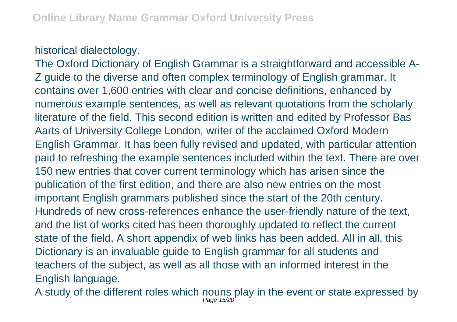## historical dialectology.

The Oxford Dictionary of English Grammar is a straightforward and accessible A-Z guide to the diverse and often complex terminology of English grammar. It contains over 1,600 entries with clear and concise definitions, enhanced by numerous example sentences, as well as relevant quotations from the scholarly literature of the field. This second edition is written and edited by Professor Bas Aarts of University College London, writer of the acclaimed Oxford Modern English Grammar. It has been fully revised and updated, with particular attention paid to refreshing the example sentences included within the text. There are over 150 new entries that cover current terminology which has arisen since the publication of the first edition, and there are also new entries on the most important English grammars published since the start of the 20th century. Hundreds of new cross-references enhance the user-friendly nature of the text, and the list of works cited has been thoroughly updated to reflect the current state of the field. A short appendix of web links has been added. All in all, this Dictionary is an invaluable guide to English grammar for all students and teachers of the subject, as well as all those with an informed interest in the English language.

A study of the different roles which nouns play in the event or state expressed by Page 15/20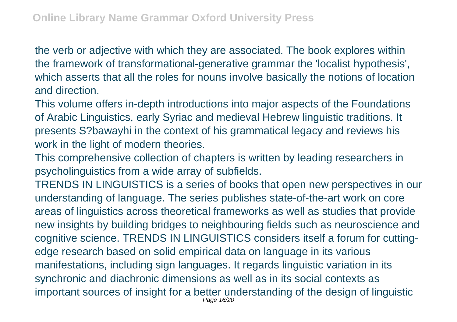the verb or adjective with which they are associated. The book explores within the framework of transformational-generative grammar the 'localist hypothesis', which asserts that all the roles for nouns involve basically the notions of location and direction.

This volume offers in-depth introductions into major aspects of the Foundations of Arabic Linguistics, early Syriac and medieval Hebrew linguistic traditions. It presents S?bawayhi in the context of his grammatical legacy and reviews his work in the light of modern theories.

This comprehensive collection of chapters is written by leading researchers in psycholinguistics from a wide array of subfields.

TRENDS IN LINGUISTICS is a series of books that open new perspectives in our understanding of language. The series publishes state-of-the-art work on core areas of linguistics across theoretical frameworks as well as studies that provide new insights by building bridges to neighbouring fields such as neuroscience and cognitive science. TRENDS IN LINGUISTICS considers itself a forum for cuttingedge research based on solid empirical data on language in its various manifestations, including sign languages. It regards linguistic variation in its synchronic and diachronic dimensions as well as in its social contexts as important sources of insight for a better understanding of the design of linguistic Page 16/20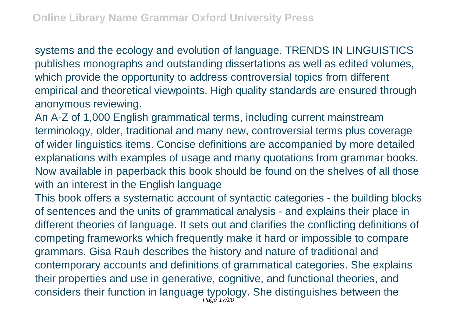systems and the ecology and evolution of language. TRENDS IN LINGUISTICS publishes monographs and outstanding dissertations as well as edited volumes, which provide the opportunity to address controversial topics from different empirical and theoretical viewpoints. High quality standards are ensured through anonymous reviewing.

An A-Z of 1,000 English grammatical terms, including current mainstream terminology, older, traditional and many new, controversial terms plus coverage of wider linguistics items. Concise definitions are accompanied by more detailed explanations with examples of usage and many quotations from grammar books. Now available in paperback this book should be found on the shelves of all those with an interest in the English language

This book offers a systematic account of syntactic categories - the building blocks of sentences and the units of grammatical analysis - and explains their place in different theories of language. It sets out and clarifies the conflicting definitions of competing frameworks which frequently make it hard or impossible to compare grammars. Gisa Rauh describes the history and nature of traditional and contemporary accounts and definitions of grammatical categories. She explains their properties and use in generative, cognitive, and functional theories, and considers their function in language typology. She distinguishes between the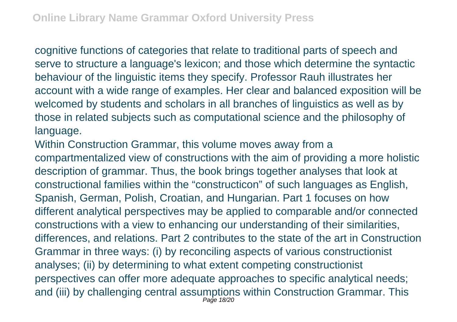cognitive functions of categories that relate to traditional parts of speech and serve to structure a language's lexicon; and those which determine the syntactic behaviour of the linguistic items they specify. Professor Rauh illustrates her account with a wide range of examples. Her clear and balanced exposition will be welcomed by students and scholars in all branches of linguistics as well as by those in related subjects such as computational science and the philosophy of language.

Within Construction Grammar, this volume moves away from a compartmentalized view of constructions with the aim of providing a more holistic description of grammar. Thus, the book brings together analyses that look at constructional families within the "constructicon" of such languages as English, Spanish, German, Polish, Croatian, and Hungarian. Part 1 focuses on how different analytical perspectives may be applied to comparable and/or connected constructions with a view to enhancing our understanding of their similarities, differences, and relations. Part 2 contributes to the state of the art in Construction Grammar in three ways: (i) by reconciling aspects of various constructionist analyses; (ii) by determining to what extent competing constructionist perspectives can offer more adequate approaches to specific analytical needs; and (iii) by challenging central assumptions within Construction Grammar. This Page 18/20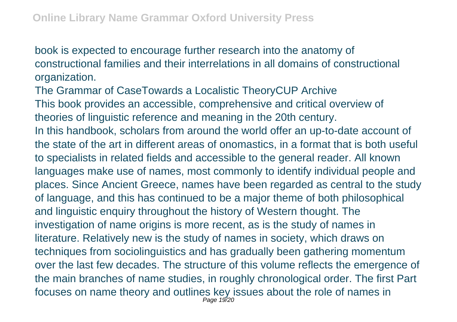book is expected to encourage further research into the anatomy of constructional families and their interrelations in all domains of constructional organization.

The Grammar of CaseTowards a Localistic TheoryCUP Archive This book provides an accessible, comprehensive and critical overview of theories of linguistic reference and meaning in the 20th century. In this handbook, scholars from around the world offer an up-to-date account of the state of the art in different areas of onomastics, in a format that is both useful to specialists in related fields and accessible to the general reader. All known languages make use of names, most commonly to identify individual people and places. Since Ancient Greece, names have been regarded as central to the study of language, and this has continued to be a major theme of both philosophical and linguistic enquiry throughout the history of Western thought. The investigation of name origins is more recent, as is the study of names in literature. Relatively new is the study of names in society, which draws on techniques from sociolinguistics and has gradually been gathering momentum over the last few decades. The structure of this volume reflects the emergence of the main branches of name studies, in roughly chronological order. The first Part focuses on name theory and outlines key issues about the role of names in Page 19/20